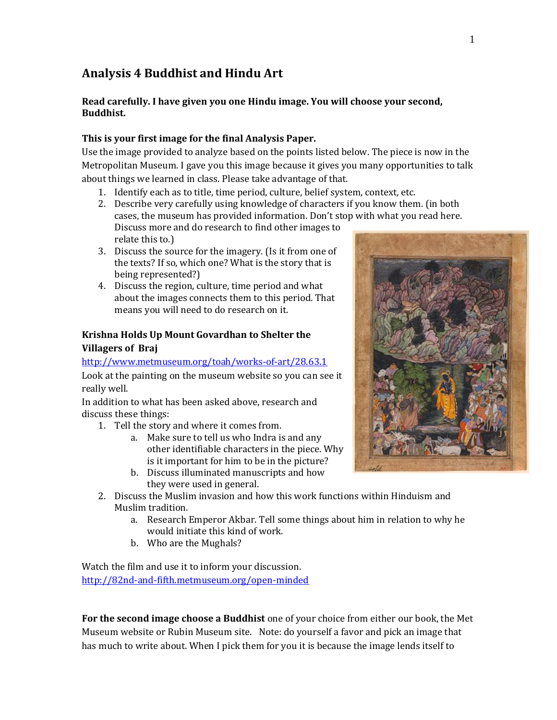# **Analysis 4 Buddhist and Hindu Art**

### **Read carefully. I have given you one Hindu image. You will choose your second, Buddhist.**

### **This is your first image for the final Analysis Paper.**

Use the image provided to analyze based on the points listed below. The piece is now in the Metropolitan Museum. I gave you this image because it gives you many opportunities to talk about things we learned in class. Please take advantage of that.

- 1. Identify each as to title, time period, culture, belief system, context, etc.
- 2. Describe very carefully using knowledge of characters if you know them. (in both cases, the museum has provided information. Don't stop with what you read here. Discuss more and do research to find other images to relate this to.)
- 3. Discuss the source for the imagery. (Is it from one of the texts? If so, which one? What is the story that is being represented?)
- 4. Discuss the region, culture, time period and what about the images connects them to this period. That means you will need to do research on it.

### **Krishna Holds Up Mount Govardhan to Shelter the Villagers of Braj**

### <http://www.metmuseum.org/toah/works-of-art/28.63.1>

Look at the painting on the museum website so you can see it really well.

In addition to what has been asked above, research and discuss these things:

- 1. Tell the story and where it comes from.
	- a. Make sure to tell us who Indra is and any other identifiable characters in the piece. Why is it important for him to be in the picture?
	- b. Discuss illuminated manuscripts and how they were used in general.
- 2. Discuss the Muslim invasion and how this work functions within Hinduism and Muslim tradition.
	- a. Research Emperor Akbar. Tell some things about him in relation to why he would initiate this kind of work.
	- b. Who are the Mughals?

Watch the film and use it to inform your discussion. <http://82nd-and-fifth.metmuseum.org/open-minded>

**For the second image choose a Buddhist** one of your choice from either our book, the Met Museum website or Rubin Museum site. Note: do yourself a favor and pick an image that has much to write about. When I pick them for you it is because the image lends itself to

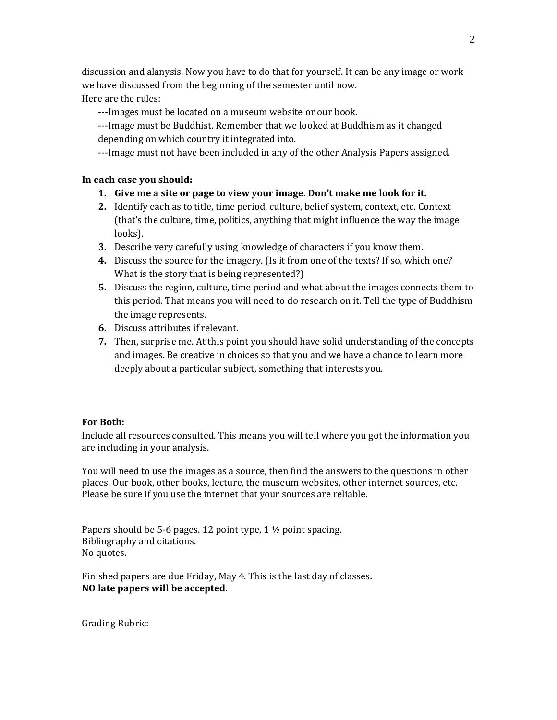discussion and alanysis. Now you have to do that for yourself. It can be any image or work we have discussed from the beginning of the semester until now. Here are the rules:

---Images must be located on a museum website or our book.

---Image must be Buddhist. Remember that we looked at Buddhism as it changed depending on which country it integrated into.

---Image must not have been included in any of the other Analysis Papers assigned.

#### **In each case you should:**

- **1. Give me a site or page to view your image. Don't make me look for it.**
- **2.** Identify each as to title, time period, culture, belief system, context, etc. Context (that's the culture, time, politics, anything that might influence the way the image looks).
- **3.** Describe very carefully using knowledge of characters if you know them.
- **4.** Discuss the source for the imagery. (Is it from one of the texts? If so, which one? What is the story that is being represented?)
- **5.** Discuss the region, culture, time period and what about the images connects them to this period. That means you will need to do research on it. Tell the type of Buddhism the image represents.
- **6.** Discuss attributes if relevant.
- **7.** Then, surprise me. At this point you should have solid understanding of the concepts and images. Be creative in choices so that you and we have a chance to learn more deeply about a particular subject, something that interests you.

#### **For Both:**

Include all resources consulted. This means you will tell where you got the information you are including in your analysis.

You will need to use the images as a source, then find the answers to the questions in other places. Our book, other books, lecture, the museum websites, other internet sources, etc. Please be sure if you use the internet that your sources are reliable.

Papers should be 5-6 pages. 12 point type, 1 ½ point spacing. Bibliography and citations. No quotes.

Finished papers are due Friday, May 4. This is the last day of classes**. NO late papers will be accepted**.

Grading Rubric: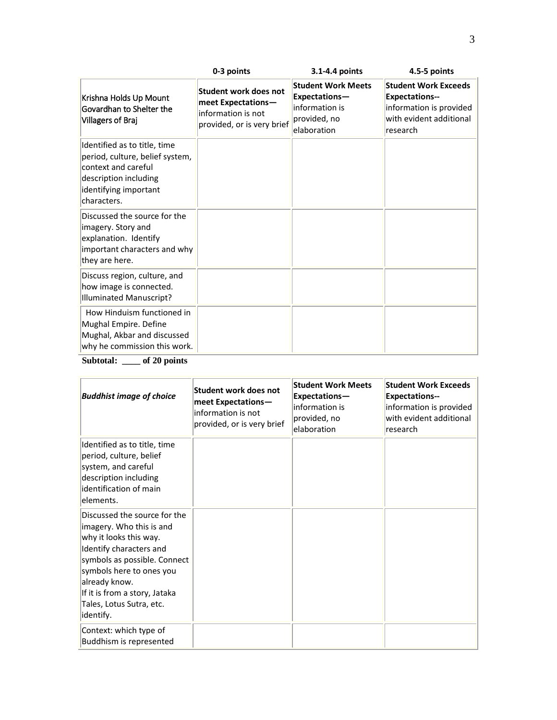|                                                                                                                                                         | 0-3 points                                                                                             | 3.1-4.4 points                                                                              | 4.5-5 points                                                                                                           |
|---------------------------------------------------------------------------------------------------------------------------------------------------------|--------------------------------------------------------------------------------------------------------|---------------------------------------------------------------------------------------------|------------------------------------------------------------------------------------------------------------------------|
| Krishna Holds Up Mount<br>Govardhan to Shelter the<br>Villagers of Braj                                                                                 | <b>Student work does not</b><br>meet Expectations-<br>information is not<br>provided, or is very brief | <b>Student Work Meets</b><br>Expectations-<br>information is<br>provided, no<br>elaboration | <b>Student Work Exceeds</b><br><b>Expectations--</b><br>information is provided<br>with evident additional<br>research |
| Identified as to title, time<br>period, culture, belief system,<br>context and careful<br>description including<br>identifying important<br>characters. |                                                                                                        |                                                                                             |                                                                                                                        |
| Discussed the source for the<br>imagery. Story and<br>explanation. Identify<br>important characters and why<br>they are here.                           |                                                                                                        |                                                                                             |                                                                                                                        |
| Discuss region, culture, and<br>how image is connected.<br>Illuminated Manuscript?                                                                      |                                                                                                        |                                                                                             |                                                                                                                        |
| How Hinduism functioned in<br>Mughal Empire. Define<br>Mughal, Akbar and discussed<br>why he commission this work.                                      |                                                                                                        |                                                                                             |                                                                                                                        |

**Subtotal: \_\_\_\_ of 20 points**

| <b>Buddhist image of choice</b>                                                                                                                                                                                                                                      | Student work does not<br>meet Expectations-<br>information is not<br>provided, or is very brief | <b>Student Work Meets</b><br>Expectations-<br>information is<br>provided, no<br>elaboration | <b>Student Work Exceeds</b><br><b>Expectations--</b><br>information is provided<br>with evident additional<br>research |
|----------------------------------------------------------------------------------------------------------------------------------------------------------------------------------------------------------------------------------------------------------------------|-------------------------------------------------------------------------------------------------|---------------------------------------------------------------------------------------------|------------------------------------------------------------------------------------------------------------------------|
| Identified as to title, time<br>period, culture, belief<br>system, and careful<br>description including<br>identification of main<br>elements.                                                                                                                       |                                                                                                 |                                                                                             |                                                                                                                        |
| Discussed the source for the<br>imagery. Who this is and<br>why it looks this way.<br>Identify characters and<br>symbols as possible. Connect<br>symbols here to ones you<br>already know.<br>If it is from a story, Jataka<br>Tales, Lotus Sutra, etc.<br>identify. |                                                                                                 |                                                                                             |                                                                                                                        |
| Context: which type of<br>Buddhism is represented                                                                                                                                                                                                                    |                                                                                                 |                                                                                             |                                                                                                                        |